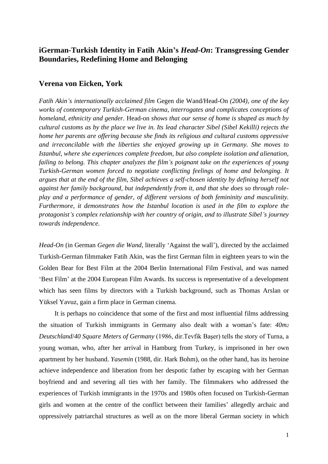# **iGerman-Turkish Identity in Fatih Akin's** *Head-On***: Transgressing Gender Boundaries, Redefining Home and Belonging**

## **Verena von Eicken, York**

*Fatih Akin's internationally acclaimed film* Gegen die Wand/Head-On *(2004), one of the key works of contemporary Turkish-German cinema, interrogates and complicates conceptions of homeland, ethnicity and gender.* Head-on *shows that our sense of home is shaped as much by cultural customs as by the place we live in. Its lead character Sibel (Sibel Kekilli) rejects the home her parents are offering because she finds its religious and cultural customs oppressive and irreconcilable with the liberties she enjoyed growing up in Germany. She moves to Istanbul, where she experiences complete freedom, but also complete isolation and alienation, failing to belong. This chapter analyzes the film's poignant take on the experiences of young Turkish-German women forced to negotiate conflicting feelings of home and belonging. It argues that at the end of the film, Sibel achieves a self-chosen identity by defining herself not against her family background, but independently from it, and that she does so through roleplay and a performance of gender, of different versions of both femininity and masculinity. Furthermore, it demonstrates how the Istanbul location is used in the film to explore the protagonist's complex relationship with her country of origin, and to illustrate Sibel's journey towards independence.*

*Head-On* (in German *Gegen die Wand*, literally 'Against the wall'), directed by the acclaimed Turkish-German filmmaker Fatih Akin, was the first German film in eighteen years to win the Golden Bear for Best Film at the 2004 Berlin International Film Festival, and was named 'Best Film' at the 2004 European Film Awards. Its success is representative of a development which has seen films by directors with a Turkish background, such as Thomas Arslan or [Yüksel Yavuz,](http://de.wikipedia.org/wiki/Y%C3%BCksel_Yavuz) gain a firm place in German cinema.

It is perhaps no coincidence that some of the first and most influential films addressing the situation of Turkish immigrants in Germany also dealt with a woman's fate: *40m<sup>2</sup> Deutschland*/*40 Square Meters of Germany* (1986, dir.Tevfik Başer) tells the story of Turna, a young woman, who, after her arrival in Hamburg from Turkey, is imprisoned in her own apartment by her husband. *Yasemin* (1988, dir. Hark Bohm), on the other hand, has its heroine achieve independence and liberation from her despotic father by escaping with her German boyfriend and and severing all ties with her family. The filmmakers who addressed the experiences of Turkish immigrants in the 1970s and 1980s often focused on Turkish-German girls and women at the centre of the conflict between their families' allegedly archaic and oppressively patriarchal structures as well as on the more liberal German society in which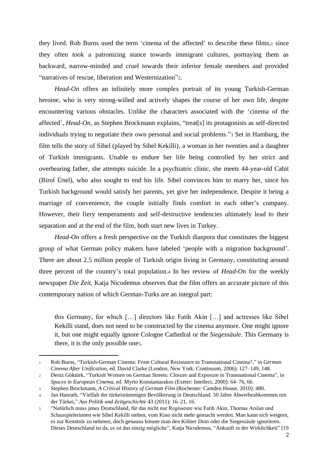they lived. Rob Burns used the term 'cinema of the affected' to describe these films,<sup>1</sup> since they often took a patronizing stance towards immigrant cultures, portraying them as backward, narrow-minded and cruel towards their inferior female members and provided "narratives of rescue, liberation and Westernization"2.

*Head-On* offers an infinitely more complex portrait of its young Turkish-German heroine, who is very strong-willed and actively shapes the course of her own life, despite encountering various obstacles. Unlike the characters associated with the 'cinema of the affected', *Head-On*, as Stephen Brockmann explains, "treat[s] its protagonists as self-directed individuals trying to negotiate their own personal and social problems."<sup>3</sup> Set in Hamburg*,* the film tells the story of Sibel (played by Sibel Kekilli), a woman in her twenties and a daughter of Turkish immigrants. Unable to endure her life being controlled by her strict and overbearing father, she attempts suicide. In a psychiatric clinic, she meets 44-year-old Cahit (Birol Ünel), who also sought to end his life. Sibel convinces him to marry her, since his Turkish background would satisfy her parents, yet give her independence. Despite it being a marriage of convenience, the couple initially finds comfort in each other's company. However, their fiery temperaments and self-destructive tendencies ultimately lead to their separation and at the end of the film, both start new lives in Turkey.

*Head-On* offers a fresh perspective on the Turkish diaspora that constitutes the biggest group of what German policy makers have labeled 'people with a migration background'. There are about 2.5 million people of Turkish origin living in Germany, constituting around three percent of the country's total population.<sup>4</sup> In her review of *Head-On* for the weekly newspaper *Die Zeit,* Katja Nicodemus observes that the film offers an accurate picture of this contemporary nation of which German-Turks are an integral part:

this Germany, for which […] directors like Fatih Akin […] and actresses like Sibel Kekilli stand, does not need to be constructed by the cinema anymore. One might ignore it, but one might equally ignore Cologne Cathedral or the *Siegessäule*. This Germany is there, it is the only possible one5.

<sup>1</sup> Rob Burns, "Turkish-German Cinema: From Cultural Resistance to Transnational Cinema?," in *German Cinema After Unification*, ed. David Clarke (London, New York: Continuum, 2006): 127–149, 148.

<sup>2</sup> Deniz Göktürk, "Turkish Women on German Streets: Closure and Exposure in Transnational Cinema", in *Spaces in European Cinema,* ed. Myrto Konstantarakos (Exeter: Intellect, 2000): 64–76, 66.

<sup>3</sup> Stephen Brockmann, *A Critical History of German Film* (Rochester: Camden House, 2010): 480.

<sup>4</sup> Jan Hanrath, "Vielfalt der türkeistämmigen Bevölkerung in Deutschland. 50 Jahre Abwerbeabkommen mit der Türkei," *Aus Politik und Zeitgeschichte* 43 (2011): 16–21, 16.

<sup>5</sup> "Natürlich muss jenes Deutschland, für das nicht nur Regisseure wie Fatih Akin, Thomas Arslan und Schauspielerinnen wie Sibel Kekilli stehen, vom Kino nicht mehr gemacht werden. Man kann sich weigern, es zur Kenntnis zu nehmen, doch genauso könnte man den Kölner Dom oder die Siegessäule ignorieren. Dieses Deutschland ist da, es ist das einzig mögliche", Katja Nicodemus, "Ankunft in der Wirklichkeit" [19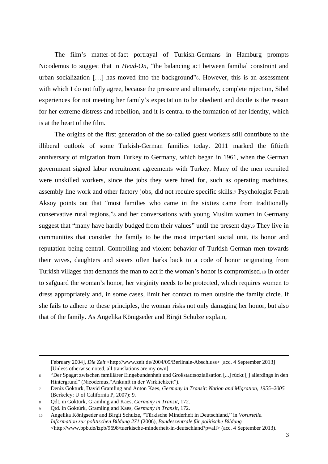The film's matter-of-fact portrayal of Turkish-Germans in Hamburg prompts Nicodemus to suggest that in *Head-On*, "the balancing act between familial constraint and urban socialization […] has moved into the background"6. However, this is an assessment with which I do not fully agree, because the pressure and ultimately, complete rejection, Sibel experiences for not meeting her family's expectation to be obedient and docile is the reason for her extreme distress and rebellion, and it is central to the formation of her identity, which is at the heart of the film.

The origins of the first generation of the so-called guest workers still contribute to the illiberal outlook of some Turkish-German families today. 2011 marked the fiftieth anniversary of migration from Turkey to Germany, which began in 1961, when the German government signed labor recruitment agreements with Turkey. Many of the men recruited were unskilled workers, since the jobs they were hired for, such as operating machines, assembly line work and other factory jobs, did not require specific skills.<sup>7</sup> Psychologist Ferah Aksoy points out that "most families who came in the sixties came from traditionally conservative rural regions,"<sup>8</sup> and her conversations with young Muslim women in Germany suggest that "many have hardly budged from their values" until the present day.<sup>9</sup> They live in communities that consider the family to be the most important social unit, its honor and reputation being central. Controlling and violent behavior of Turkish-German men towards their wives, daughters and sisters often harks back to a code of honor originating from Turkish villages that demands the man to act if the woman's honor is compromised.<sup>10</sup> In order to safguard the woman's honor, her virginity needs to be protected, which requires women to dress appropriately and, in some cases, limit her contact to men outside the family circle. If she fails to adhere to these principles, the woman risks not only damaging her honor, but also that of the family. As Angelika Königseder and Birgit Schulze explain,

February 2004], *Die Zeit* <http://www.zeit.de/2004/09/Berlinale-Abschluss> [acc. 4 September 2013] [Unless otherwise noted, all translations are my own].

<sup>6</sup> "Der Spagat zwischen familiärer Eingebundenheit und Großstadtsozialisation [...] rückt [ ] allerdings in den Hintergrund" (Nicodemus,"Ankunft in der Wirklichkeit").

<sup>7</sup> Deniz Göktürk, David Gramling and Anton Kaes, *Germany in Transit: Nation and Migration, 1955–2005* (Berkeley: U of California P, 2007): 9.

<sup>8</sup> Qdt. in Göktürk, Gramling and Kaes, *Germany in Transit*, 172.

<sup>9</sup> Qtd. in Göktürk, Gramling and Kaes, *Germany in Transit*, 172.

<sup>10</sup> Angelika Königseder and Birgit Schulze, "Türkische Minderheit in Deutschland," in *Vorurteile. Information zur politischen Bildung 271* (2006), *Bundeszentrale für politische Bildung* <http://www.bpb.de/izpb/9698/tuerkische-minderheit-in-deutschland?p=all> (acc. 4 September 2013).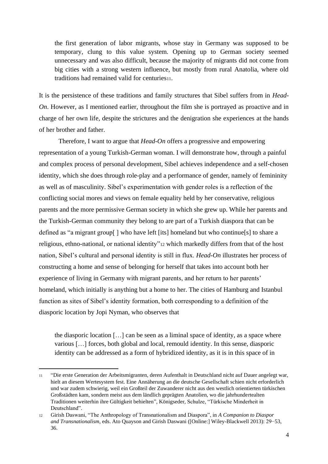the first generation of labor migrants, whose stay in Germany was supposed to be temporary, clung to this value system. Opening up to German society seemed unnecessary and was also difficult, because the majority of migrants did not come from big cities with a strong western influence, but mostly from rural Anatolia, where old traditions had remained valid for centuries11.

It is the persistence of these traditions and family structures that Sibel suffers from in *Head-On*. However, as I mentioned earlier, throughout the film she is portrayed as proactive and in charge of her own life, despite the strictures and the denigration she experiences at the hands of her brother and father.

Therefore, I want to argue that *Head-On* offers a progressive and empowering representation of a young Turkish-German woman. I will demonstrate how, through a painful and complex process of personal development, Sibel achieves independence and a self-chosen identity, which she does through role-play and a performance of gender, namely of femininity as well as of masculinity. Sibel's experimentation with gender roles is a reflection of the conflicting social mores and views on female equality held by her conservative, religious parents and the more permissive German society in which she grew up. While her parents and the Turkish-German community they belong to are part of a Turkish diaspora that can be defined as "a migrant group[ ] who have left [its] homeland but who continue[s] to share a religious, ethno-national, or national identity"<sup>12</sup> which markedly differs from that of the host nation, Sibel's cultural and personal identity is still in flux. *Head-On* illustrates her process of constructing a home and sense of belonging for herself that takes into account both her experience of living in Germany with migrant parents, and her return to her parents' homeland, which initially is anything but a home to her. The cities of Hamburg and Istanbul function as sites of Sibel's identity formation, both corresponding to a definition of the diasporic location by Jopi Nyman, who observes that

the diasporic location […] can be seen as a liminal space of identity, as a space where various […] forces, both global and local, remould identity. In this sense, diasporic identity can be addressed as a form of hybridized identity, as it is in this space of in

<sup>11</sup> "Die erste Generation der Arbeitsmigranten, deren Aufenthalt in Deutschland nicht auf Dauer angelegt war, hielt an diesem Wertesystem fest. Eine Annäherung an die deutsche Gesellschaft schien nicht erforderlich und war zudem schwierig, weil ein Großteil der Zuwanderer nicht aus den westlich orientierten türkischen Großstädten kam, sondern meist aus dem ländlich geprägten Anatolien, wo die jahrhundertealten Traditionen weiterhin ihre Gültigkeit behielten", Königseder, Schulze, "Türkische Minderheit in Deutschland".

<sup>12</sup> Girish Daswani, "The Anthropology of Transnationalism and Diaspora", in *A Companion to Diaspor and Transnationalism*, eds. Ato Quayson and Girish Daswani ([Online:] Wiley-Blackwell 2013): 29−53, 36.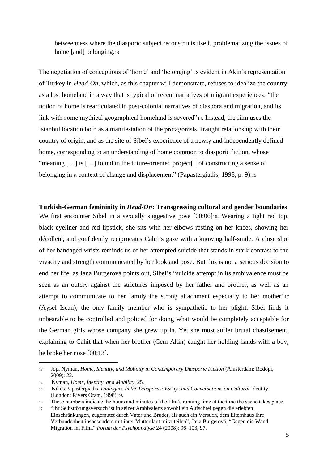betweenness where the diasporic subject reconstructs itself, problematizing the issues of home [and] belonging.13

The negotiation of conceptions of 'home' and 'belonging' is evident in Akin's representation of Turkey in *Head-On*, which, as this chapter will demonstrate, refuses to idealize the country as a lost homeland in a way that is typical of recent narratives of migrant experiences: "the notion of home is rearticulated in post-colonial narratives of diaspora and migration, and its link with some mythical geographical homeland is severed"14. Instead, the film uses the Istanbul location both as a manifestation of the protagonists' fraught relationship with their country of origin, and as the site of Sibel's experience of a newly and independently defined home, corresponding to an understanding of home common to diasporic fiction, whose "meaning […] is […] found in the future-oriented project[ ] of constructing a sense of belonging in a context of change and displacement" (Papastergiadis, 1998, p. 9).<sup>15</sup>

**Turkish-German femininity in** *Head-On***: Transgressing cultural and gender boundaries** We first encounter Sibel in a sexually suggestive pose  $[00:06]$ 16. Wearing a tight red top, black eyeliner and red lipstick, she sits with her elbows resting on her knees, showing her décolleté, and confidently reciprocates Cahit's gaze with a knowing half-smile. A close shot of her bandaged wrists reminds us of her attempted suicide that stands in stark contrast to the vivacity and strength communicated by her look and pose. But this is not a serious decision to end her life: as Jana Burgerová points out, Sibel's "suicide attempt in its ambivalence must be seen as an outcry against the strictures imposed by her father and brother, as well as an attempt to communicate to her family the strong attachment especially to her mother"<sup>17</sup> (Aysel Iscan), the only family member who is sympathetic to her plight. Sibel finds it unbearable to be controlled and policed for doing what would be completely acceptable for the German girls whose company she grew up in. Yet she must suffer brutal chastisement, explaining to Cahit that when her brother (Cem Akin) caught her holding hands with a boy, he broke her nose [00:13].

<sup>13</sup> Jopi Nyman*, Home, Identity, and Mobility in Contemporary Diasporic Fiction* (Amsterdam: Rodopi, 2009): 22.

<sup>14</sup> Nyman, *Home, Identity, and Mobility*, 25.

<sup>15</sup> Nikos Papastergiadis, *Dialogues in the Diasporas: Essays and Conversations on Cultural* Identity (London: Rivers Oram, 1998): 9.

<sup>16</sup> These numbers indicate the hours and minutes of the film's running time at the time the scene takes place.

<sup>17</sup> "Ihr Selbsttötungsversuch ist in seiner Ambivalenz sowohl ein Aufschrei gegen die erlebten Einschränkungen, zugemutet durch Vater und Bruder, als auch ein Versuch, dem Elternhaus ihre Verbundenheit insbesondere mit ihrer Mutter laut mitzuteilen", Jana Burgerová, "Gegen die Wand. Migration im Film," *Forum der Psychoanalyse* 24 (2008): 96–103, 97.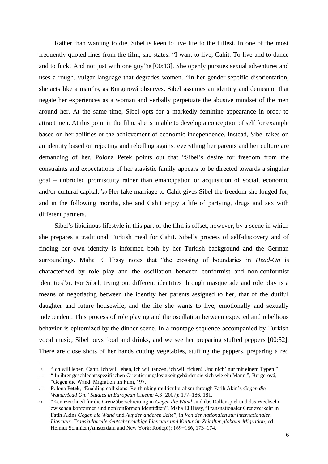Rather than wanting to die, Sibel is keen to live life to the fullest. In one of the most frequently quoted lines from the film, she states: "I want to live, Cahit. To live and to dance and to fuck! And not just with one guy"<sup>18</sup> [00:13]. She openly pursues sexual adventures and uses a rough, vulgar language that degrades women. "In her gender-sepcific disorientation, she acts like a man"19, as Burgerová observes. Sibel assumes an identity and demeanor that negate her experiences as a woman and verbally perpetuate the abusive mindset of the men around her. At the same time, Sibel opts for a markedly feminine appearance in order to attract men. At this point in the film, she is unable to develop a conception of self for example based on her abilities or the achievement of economic independence. Instead, Sibel takes on an identity based on rejecting and rebelling against everything her parents and her culture are demanding of her. Polona Petek points out that "Sibel's desire for freedom from the constraints and expectations of her atavistic family appears to be directed towards a singular goal – unbridled promiscuity rather than emancipation or acquisition of social, economic and/or cultural capital."<sup>20</sup> Her fake marriage to Cahit gives Sibel the freedom she longed for, and in the following months, she and Cahit enjoy a life of partying, drugs and sex with different partners.

Sibel's libidinous lifestyle in this part of the film is offset, however, by a scene in which she prepares a traditional Turkish meal for Cahit. Sibel's process of self-discovery and of finding her own identity is informed both by her Turkish background and the German surroundings. Maha El Hissy notes that "the crossing of boundaries in *Head-On* is characterized by role play and the oscillation between conformist and non-conformist identities"21. For Sibel, trying out different identities through masquerade and role play is a means of negotiating between the identity her parents assigned to her, that of the dutiful daughter and future housewife, and the life she wants to live, emotionally and sexually independent. This process of role playing and the oscillation between expected and rebellious behavior is epitomized by the dinner scene. In a montage sequence accompanied by Turkish vocal music, Sibel buys food and drinks, and we see her preparing stuffed peppers [00:52]. There are close shots of her hands cutting vegetables, stuffing the peppers, preparing a red

<sup>18</sup> "Ich will leben, Cahit. Ich will leben, ich will tanzen, ich will ficken! Und nich' nur mit einem Typen."

<sup>19</sup> " In ihrer geschlechtsspezifischen Orientierungslosigkeit gebärdet sie sich wie ein Mann ", Burgerová, "Gegen die Wand. Migration im Film," 97.

<sup>20</sup> Polona Petek, "Enabling collisions: Re-thinking multiculturalism through Fatih Akin's *Gegen die Wand/Head On,*" *Studies in European Cinema* 4.3 (2007): 177–186, 181.

<sup>21</sup> "Kennzeichned für die Grenzüberschreitung in *Gegen die Wand* sind das Rollenspiel und das Wechseln zwischen konformen und nonkonformen Identitäten", Maha El Hissy,"Transnationaler Grenzverkehr in Fatih Akins *Gegen die Wand* und *Auf der anderen Seite*", in *Von der nationalen zur internationalen Literatur. Transkulturelle deutschsprachige Literatur und Kultur im Zeitalter globaler Migration*, ed. Helmut Schmitz (Amsterdam and New York: Rodopi): 169−186, 173–174.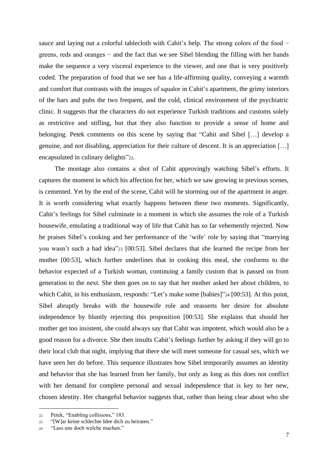sauce and laying out a colorful tablecloth with Cahit's help. The strong colors of the food − greens, reds and oranges − and the fact that we see Sibel blending the filling with her hands make the sequence a very visceral experience to the viewer, and one that is very positively coded. The preparation of food that we see has a life-affirming quality, conveying a warmth and comfort that contrasts with the images of squalor in Cahit's apartment, the grimy interiors of the bars and pubs the two frequent, and the cold, clinical environment of the psychiatric clinic. It suggests that the characters do not experience Turkish traditions and customs solely as restrictive and stifling, but that they also function to provide a sense of home and belonging. Petek comments on this scene by saying that "Cahit and Sibel […] develop a genuine, and not disabling, appreciation for their culture of descent. It is an appreciation […] encapsulated in culinary delights"22.

The montage also contains a shot of Cahit approvingly watching Sibel's efforts. It captures the moment in which his affection for her, which we saw growing in previous scenes, is cemented. Yet by the end of the scene, Cahit will be storming out of the apartment in anger. It is worth considering what exactly happens between these two moments. Significantly, Cahit's feelings for Sibel culminate in a moment in which she assumes the role of a Turkish housewife, emulating a traditional way of life that Cahit has so far vehemently rejected. Now he praises Sibel's cooking and her performance of the 'wife' role by saying that "marrying you wasn't such a bad idea"<sup>23</sup> [00:53]. Sibel declares that she learned the recipe from her mother [00:53], which further underlines that in cooking this meal, she conforms to the behavior expected of a Turkish woman, continuing a family custom that is passed on from generation to the next. She then goes on to say that her mother asked her about children, to which Cahit, in his enthusiasm, responds: "Let's make some [babies]"24 [00:53]. At this point, Sibel abruptly breaks with the housewife role and reasserts her desire for absolute independence by bluntly rejecting this proposition [00:53]. She explains that should her mother get too insistent, she could always say that Cahit was impotent, which would also be a good reason for a divorce. She then insults Cahit's feelings further by asking if they will go to their local club that night, implying that there she will meet someone for casual sex, which we have seen her do before. This sequence illustrates how Sibel temporarily assumes an identity and behavior that she has learned from her family, but only as long as this does not conflict with her demand for complete personal and sexual independence that is key to her new, chosen identity. Her changeful behavior suggests that, rather than being clear about who she

<sup>22</sup> Petek, "Enabling collisions," 183.

<sup>23</sup> "[W]ar keine schlechte Idee dich zu heiraten."

<sup>24</sup> "Lass uns doch welche machen."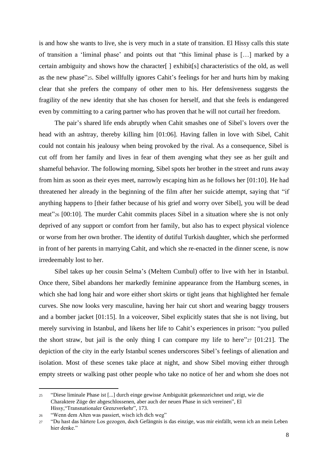is and how she wants to live, she is very much in a state of transition. El Hissy calls this state of transition a 'liminal phase' and points out that "this liminal phase is […] marked by a certain ambiguity and shows how the character[ ] exhibit[s] characteristics of the old, as well as the new phase"25. Sibel willfully ignores Cahit's feelings for her and hurts him by making clear that she prefers the company of other men to his. Her defensiveness suggests the fragility of the new identity that she has chosen for herself, and that she feels is endangered even by committing to a caring partner who has proven that he will not curtail her freedom.

The pair's shared life ends abruptly when Cahit smashes one of Sibel's lovers over the head with an ashtray, thereby killing him [01:06]. Having fallen in love with Sibel, Cahit could not contain his jealousy when being provoked by the rival. As a consequence, Sibel is cut off from her family and lives in fear of them avenging what they see as her guilt and shameful behavior. The following morning, Sibel spots her brother in the street and runs away from him as soon as their eyes meet, narrowly escaping him as he follows her [01:10]. He had threatened her already in the beginning of the film after her suicide attempt, saying that "if anything happens to [their father because of his grief and worry over Sibel], you will be dead meat"<sup>26</sup> [00:10]. The murder Cahit commits places Sibel in a situation where she is not only deprived of any support or comfort from her family, but also has to expect physical violence or worse from her own brother. The identity of dutiful Turkish daughter, which she performed in front of her parents in marrying Cahit, and which she re-enacted in the dinner scene, is now irredeemably lost to her.

Sibel takes up her cousin Selma's (Meltem Cumbul) offer to live with her in Istanbul. Once there, Sibel abandons her markedly feminine appearance from the Hamburg scenes, in which she had long hair and wore either short skirts or tight jeans that highlighted her female curves. She now looks very masculine, having her hair cut short and wearing baggy trousers and a bomber jacket [01:15]. In a voiceover, Sibel explicitly states that she is not living, but merely surviving in Istanbul, and likens her life to Cahit's experiences in prison: "you pulled the short straw, but jail is the only thing I can compare my life to here" $27$  [01:21]. The depiction of the city in the early Istanbul scenes underscores Sibel's feelings of alienation and isolation. Most of these scenes take place at night, and show Sibel moving either through empty streets or walking past other people who take no notice of her and whom she does not

<sup>25</sup> "Diese liminale Phase ist [...] durch einge gewisse Ambiguität gekennzeichnet und zeigt, wie die Charaktere Züge der abgeschlossenen, aber auch der neuen Phase in sich vereinen", El Hissy,"Transnationaler Grenzverkehr", 173.

<sup>26</sup> "Wenn dem Alten was passiert, wisch ich dich weg"

<sup>27</sup> "Du hast das härtere Los gezogen, doch Gefängnis is das einzige, was mir einfällt, wenn ich an mein Leben hier denke."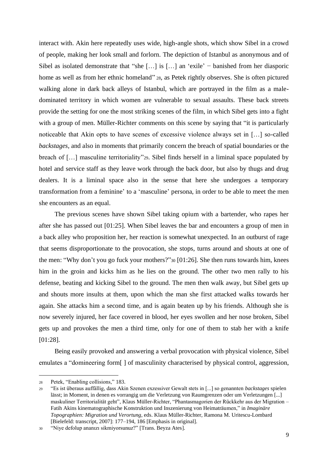interact with. Akin here repeatedly uses wide, high-angle shots, which show Sibel in a crowd of people, making her look small and forlorn. The depiction of Istanbul as anonymous and of Sibel as isolated demonstrate that "she […] is […] an 'exile' − banished from her diasporic home as well as from her ethnic homeland" 28, as Petek rightly observes. She is often pictured walking alone in dark back alleys of Istanbul, which are portrayed in the film as a maledominated territory in which women are vulnerable to sexual assaults. These back streets provide the setting for one the most striking scenes of the film, in which Sibel gets into a fight with a group of men. Müller-Richter comments on this scene by saying that "it is particularly noticeable that Akin opts to have scenes of excessive violence always set in […] so-called *backstages*, and also in moments that primarily concern the breach of spatial boundaries or the breach of […] masculine territoriality"29. Sibel finds herself in a liminal space populated by hotel and service staff as they leave work through the back door, but also by thugs and drug dealers. It is a liminal space also in the sense that here she undergoes a temporary transformation from a feminine' to a 'masculine' persona, in order to be able to meet the men she encounters as an equal.

The previous scenes have shown Sibel taking opium with a bartender, who rapes her after she has passed out [01:25]. When Sibel leaves the bar and encounters a group of men in a back alley who proposition her, her reaction is somewhat unexpected. In an outburst of rage that seems disproportionate to the provocation, she stops, turns around and shouts at one of the men: "Why don't you go fuck your mothers?"<sup>30</sup> [01:26]. She then runs towards him, knees him in the groin and kicks him as he lies on the ground. The other two men rally to his defense, beating and kicking Sibel to the ground. The men then walk away, but Sibel gets up and shouts more insults at them, upon which the man she first attacked walks towards her again. She attacks him a second time, and is again beaten up by his friends. Although she is now severely injured, her face covered in blood, her eyes swollen and her nose broken, Sibel gets up and provokes the men a third time, only for one of them to stab her with a knife [01:28].

Being easily provoked and answering a verbal provocation with physical violence, Sibel emulates a "domineering form[ ] of masculinity characterised by physical control, aggression,

<sup>28</sup> Petek, "Enabling collisions," 183.

<sup>29</sup> "Es ist überaus auffällig, dass Akin Szenen exzessiver Gewalt stets in [...] so genannten *backstages* spielen lässt; in Moment, in denen es vorrangig um die Verletzung von Raumgrenzen oder um Verletzungen [...] maskuliner Territorialität geht", Klaus Müller-Richter, "Phantasmagorien der Rückkehr aus der Migration – Fatih Akins kinematographische Konstruktion und Inszenierung von Heimaträumen," in *Imaginäre Topographien: Migration und Verortung*, eds. Klaus Müller-Richter, Ramona M. Uritescu-Lombard [Bielefeld: transcript, 2007]: 177–194, 186 [Emphasis in original].

<sup>30</sup> "Niye defolup ananızı sikmiyorsunuz?" [Trans. Beyza Ates].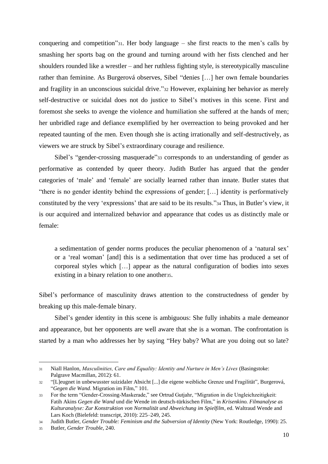conquering and competition"31. Her body language – she first reacts to the men's calls by smashing her sports bag on the ground and turning around with her fists clenched and her shoulders rounded like a wrestler – and her ruthless fighting style, is stereotypically masculine rather than feminine. As Burgerová observes, Sibel "denies […] her own female boundaries and fragility in an unconscious suicidal drive."<sup>32</sup> However, explaining her behavior as merely self-destructive or suicidal does not do justice to Sibel's motives in this scene. First and foremost she seeks to avenge the violence and humiliation she suffered at the hands of men; her unbridled rage and defiance exemplified by her overreaction to being provoked and her repeated taunting of the men. Even though she is acting irrationally and self-destructively, as viewers we are struck by Sibel's extraordinary courage and resilience.

Sibel's "gender-crossing masquerade"<sup>33</sup> corresponds to an understanding of gender as performative as contended by queer theory. Judith Butler has argued that the gender categories of 'male' and 'female' are socially learned rather than innate. Butler states that "there is no gender identity behind the expressions of gender; […] identity is performatively constituted by the very 'expressions' that are said to be its results."<sup>34</sup> Thus, in Butler's view, it is our acquired and internalized behavior and appearance that codes us as distinctly male or female:

a sedimentation of gender norms produces the peculiar phenomenon of a 'natural sex' or a 'real woman' [and] this is a sedimentation that over time has produced a set of corporeal styles which […] appear as the natural configuration of bodies into sexes existing in a binary relation to one anotherss.

Sibel's performance of masculinity draws attention to the constructedness of gender by breaking up this male-female binary.

Sibel's gender identity in this scene is ambiguous: She fully inhabits a male demeanor and appearance, but her opponents are well aware that she is a woman. The confrontation is started by a man who addresses her by saying "Hey baby? What are you doing out so late?

<sup>31</sup> Niall Hanlon, *Masculinities, Care and Equality: Identity and Nurture in Men's Lives* (Basingstoke: Palgrave Macmillan, 2012): 61.

<sup>32</sup> "[L]eugnet in unbewusster suizidaler Absicht [...] die eigene weibliche Grenze und Fragilität", Burgerová, "*Gegen die Wand*. Migration im Film," 101.

<sup>33</sup> For the term "Gender-Crossing-Maskerade," see Ortrud Gutjahr, "Migration in die Ungleichzeitigkeit: Fatih Akins *Gegen die Wand* und die Wende im deutsch-türkischen Film," in *Krisenkino. Filmanalyse as Kulturanalyse: Zur Konstruktion von Normalität und Abweichung im Spielfilm*, ed. Waltraud Wende and Lars Koch (Bielefeld: transcript, 2010): 225–249, 245.

<sup>34</sup> Judith Butler, *Gender Trouble: Feminism and the Subversion of Identity* (New York: Routledge, 1990): 25.

<sup>35</sup> Butler, *Gender Trouble*, 240.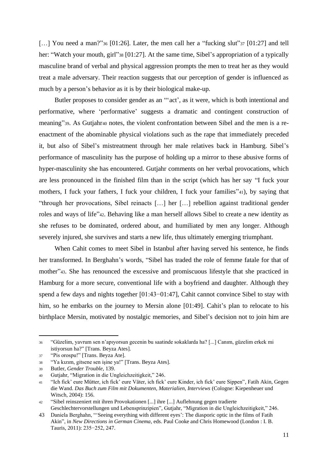[...] You need a man?" $36$  [01:26]. Later, the men call her a "fucking slut" $37$  [01:27] and tell her: "Watch your mouth, girl"38 [01:27]. At the same time, Sibel's appropriation of a typically masculine brand of verbal and physical aggression prompts the men to treat her as they would treat a male adversary. Their reaction suggests that our perception of gender is influenced as much by a person's behavior as it is by their biological make-up.

Butler proposes to consider gender as an ""act', as it were, which is both intentional and performative, where 'performative' suggests a dramatic and contingent construction of meaning"39. As Gutjahr<sup>40</sup> notes, the violent confrontation between Sibel and the men is a reenactment of the abominable physical violations such as the rape that immediately preceded it, but also of Sibel's mistreatment through her male relatives back in Hamburg. Sibel's performance of masculinity has the purpose of holding up a mirror to these abusive forms of hyper-masculinity she has encountered. Gutjahr comments on her verbal provocations, which are less pronounced in the finished film than in the script (which has her say "I fuck your mothers, I fuck your fathers, I fuck your children, I fuck your families"41), by saying that "through her provocations, Sibel reinacts […] her […] rebellion against traditional gender roles and ways of life"42. Behaving like a man herself allows Sibel to create a new identity as she refuses to be dominated, ordered about, and humiliated by men any longer. Although severely injured, she survives and starts a new life, thus ultimately emerging triumphant.

When Cahit comes to meet Sibel in Istanbul after having served his sentence, he finds her transformed. In Berghahn's words, "Sibel has traded the role of femme fatale for that of mother"43. She has renounced the excessive and promiscuous lifestyle that she practiced in Hamburg for a more secure, conventional life with a boyfriend and daughter. Although they spend a few days and nights together [01:43–01:47], Cahit cannot convince Sibel to stay with him, so he embarks on the journey to Mersin alone [01:49]. Cahit's plan to relocate to his birthplace Mersin, motivated by nostalgic memories, and Sibel's decision not to join him are

<sup>36</sup> "Güzelim, yavrum sen n'apıyorsun gecenin bu saatinde sokaklarda ha? [...] Canım, güzelim erkek mi istiyorsun ha?" [Trans. Beyza Ates].

<sup>37</sup> "Pis orospu!" [Trans. Beyza Ate].

<sup>38</sup> "Ya kızım, gitsene sen işine ya!" [Trans. Beyza Ates].

<sup>39</sup> Butler, *Gender Trouble*, 139.

<sup>40</sup> Gutjahr, "Migration in die Ungleichzeitigkeit," 246.

<sup>41</sup> "Ich fick' eure Mütter, ich fick' eure Väter, ich fick' eure Kinder, ich fick' eure Sippen", Fatih Akin, Gegen die Wand*. Das Buch zum Film mit Dokumenten, Materialien, Interviews* (Cologne: Kiepenheuer und Witsch, 2004): 156.

<sup>42</sup> "Sibel reinszeniert mit ihren Provokationen [...] ihre [...] Auflehnung gegen tradierte Geschlechtervorstellungen und Lebensprinzipien", Gutjahr, "Migration in die Ungleichzeitigkeit," 246.

<sup>43</sup> Daniela Berghahn, "'Seeing everything with different eyes': The diasporic optic in the films of Fatih Akin", in *New Directions in German Cinema*, eds. Paul Cooke and Chris Homewood (London : I. B. Tauris, 2011): 235−252, 247.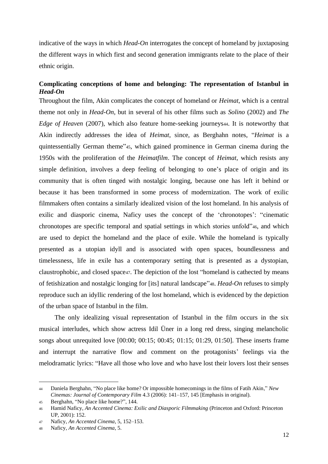indicative of the ways in which *Head-On* interrogates the concept of homeland by juxtaposing the different ways in which first and second generation immigrants relate to the place of their ethnic origin.

### **Complicating conceptions of home and belonging: The representation of Istanbul in**  *Head-On*

Throughout the film, Akin complicates the concept of homeland or *Heimat*, which is a central theme not only in *Head-On*, but in several of his other films such as *Solino* (2002) and *The Edge of Heaven* (2007), which also feature home-seeking journeys44. It is noteworthy that Akin indirectly addresses the idea of *Heimat*, since, as Berghahn notes, "*Heimat* is a quintessentially German theme"45, which gained prominence in German cinema during the 1950s with the proliferation of the *Heimatfilm*. The concept of *Heimat*, which resists any simple definition, involves a deep feeling of belonging to one's place of origin and its community that is often tinged with nostalgic longing, because one has left it behind or because it has been transformed in some process of modernization. The work of exilic filmmakers often contains a similarly idealized vision of the lost homeland. In his analysis of exilic and diasporic cinema, Naficy uses the concept of the 'chronotopes': "cinematic chronotopes are specific temporal and spatial settings in which stories unfold"46, and which are used to depict the homeland and the place of exile. While the homeland is typically presented as a utopian idyll and is associated with open spaces, boundlessness and timelessness, life in exile has a contemporary setting that is presented as a dystopian, claustrophobic, and closed space47. The depiction of the lost "homeland is cathected by means of fetishization and nostalgic longing for [its] natural landscape"48. *Head-On* refuses to simply reproduce such an idyllic rendering of the lost homeland, which is evidenced by the depiction of the urban space of Istanbul in the film.

The only idealizing visual representation of Istanbul in the film occurs in the six musical interludes, which show actress Idil Üner in a long red dress, singing melancholic songs about unrequited love [00:00; 00:15; 00:45; 01:15; 01:29, 01:50]. These inserts frame and interrupt the narrative flow and comment on the protagonists' feelings via the melodramatic lyrics: "Have all those who love and who have lost their lovers lost their senses

<sup>44</sup> Daniela Berghahn, "No place like home? Or impossible homecomings in the films of Fatih Akin," *New Cinemas: Journal of Contemporary Film* 4.3 (2006): 141–157, 145 [Emphasis in original).

<sup>45</sup> Berghahn, "No place like home?", 144.

<sup>46</sup> Hamid Naficy, *An Accented Cinema: Exilic and Diasporic Filmmaking* (Princeton and Oxford: Princeton UP, 2001): 152.

<sup>47</sup> Naficy, *An Accented Cinema*, 5, 152–153.

<sup>48</sup> Naficy, *An Accented Cinema*, 5.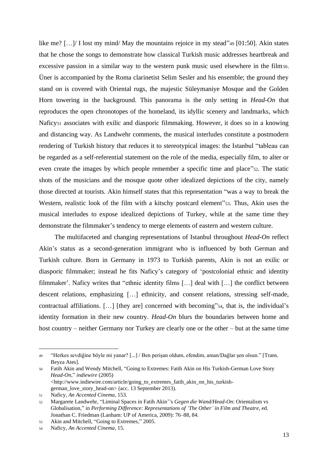like me? […]/ I lost my mind/ May the mountains rejoice in my stead"49 [01:50]. Akin states that he chose the songs to demonstrate how classical Turkish music addresses heartbreak and excessive passion in a similar way to the western punk music used elsewhere in the film50. Üner is accompanied by the Roma clarinetist Selim Sesler and his ensemble; the ground they stand on is covered with Oriental rugs, the majestic Süleymaniye Mosque and the Golden Horn towering in the background. This panorama is the only setting in *Head-On* that reproduces the open chronotopes of the homeland, its idyllic scenery and landmarks, which Naficy<sup>51</sup> associates with exilic and diasporic filmmaking. However, it does so in a knowing and distancing way. As Landwehr comments, the musical interludes constitute a postmodern rendering of Turkish history that reduces it to stereotypical images: the Istanbul "tableau can be regarded as a self-referential statement on the role of the media, especially film, to alter or even create the images by which people remember a specific time and place"52. The static shots of the musicians and the mosque quote other idealized depictions of the city, namely those directed at tourists. Akin himself states that this representation "was a way to break the Western, realistic look of the film with a kitschy postcard element"53. Thus, Akin uses the musical interludes to expose idealized depictions of Turkey, while at the same time they demonstrate the filmmaker's tendency to merge elements of eastern and western culture.

The multifaceted and changing representations of Istanbul throughout *Head-On* reflect Akin's status as a second-generation immigrant who is influenced by both German and Turkish culture. Born in Germany in 1973 to Turkish parents, Akin is not an exilic or diasporic filmmaker; instead he fits Naficy's category of 'postcolonial ethnic and identity filmmaker'. Naficy writes that "ethnic identity films […] deal with […] the conflict between descent relations, emphasizing […] ethnicity, and consent relations, stressing self-made, contractual affiliations. […] [they are] concerned with becoming"54, that is, the individual's identity formation in their new country. *Head-On* blurs the boundaries between home and host country – neither Germany nor Turkey are clearly one or the other – but at the same time

<sup>49</sup> "Herkes sevdiğine böyle mi yanar? [...] / Ben perişan oldum, efendim, aman/Dağlar şen olsun." [Trans. Beyza Ates].

<sup>50</sup> Fatih Akin and Wendy Mitchell, "Going to Extremes: Fatih Akin on His Turkish-German Love Story *Head-On*," *indiewire* (2005) <http://www.indiewire.com/article/going\_to\_extremes\_fatih\_akin\_on\_his\_turkishgerman\_love\_story\_head-on> (acc. 13 September 2013).

<sup>51</sup> Naficy, *An Accented Cinema*, 153*.*

<sup>52</sup> Margarete Landwehr, "Liminal Spaces in Fatih Akin''s *Gegen die Wand/Head-On*: Orientalism vs Globalisation," in *Performing Difference: Representations of 'The Other' in Film and Theatre*, ed. Jonathan C. Friedman (Lanham: UP of America, 2009): 76–88, 84.

<sup>53</sup> Akin and Mitchell, "Going to Extremes," 2005.

<sup>54</sup> Naficy, *An Accented Cinema*, 15.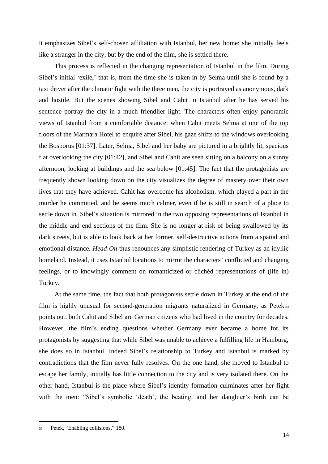it emphasizes Sibel's self-chosen affiliation with Istanbul, her new home: she initially feels like a stranger in the city, but by the end of the film, she is settled there.

This process is reflected in the changing representation of Istanbul in the film. During Sibel's initial 'exile,' that is, from the time she is taken in by Selma until she is found by a taxi driver after the climatic fight with the three men, the city is portrayed as anonymous, dark and hostile. But the scenes showing Sibel and Cahit in Istanbul after he has served his sentence portray the city in a much friendlier light. The characters often enjoy panoramic views of Istanbul from a comfortable distance: when Cahit meets Selma at one of the top floors of the Marmara Hotel to enquire after Sibel, his gaze shifts to the windows overlooking the Bosporus [01:37]. Later, Selma, Sibel and her baby are pictured in a brightly lit, spacious flat overlooking the city [01:42], and Sibel and Cahit are seen sitting on a balcony on a sunny afternoon, looking at buildings and the sea below [01:45]. The fact that the protagonists are frequently shown looking down on the city visualizes the degree of mastery over their own lives that they have achieved. Cahit has overcome his alcoholism, which played a part in the murder he committed, and he seems much calmer, even if he is still in search of a place to settle down in. Sibel's situation is mirrored in the two opposing representations of Istanbul in the middle and end sections of the film. She is no longer at risk of being swallowed by its dark streets, but is able to look back at her former, self-destructive actions from a spatial and emotional distance. *Head-On* thus renounces any simplistic rendering of Turkey as an idyllic homeland. Instead, it uses Istanbul locations to mirror the characters' conflicted and changing feelings, or to knowingly comment on romanticized or clichéd representations of (life in) Turkey.

At the same time, the fact that both protagonists settle down in Turkey at the end of the film is highly unusual for second-generation migrants naturalized in Germany, as Petek55 points out: both Cahit and Sibel are German citizens who had lived in the country for decades. However, the film's ending questions whether Germany ever became a home for its protagonists by suggesting that while Sibel was unable to achieve a fulfilling life in Hamburg, she does so in Istanbul. Indeed Sibel's relationship to Turkey and Istanbul is marked by contradictions that the film never fully resolves. On the one hand, she moved to Istanbul to escape her family, initially has little connection to the city and is very isolated there. On the other hand, Istanbul is the place where Sibel's identity formation culminates after her fight with the men: "Sibel's symbolic 'death', the beating, and her daughter's birth can be

<sup>55</sup> Petek, "Enabling collisions," 180.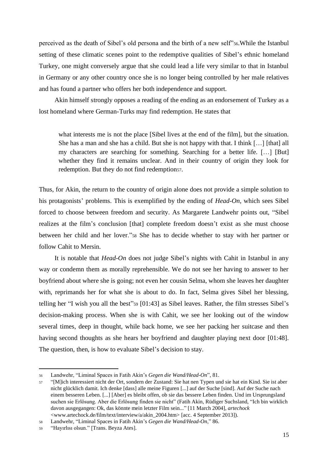perceived as the death of Sibel's old persona and the birth of a new self"56.While the Istanbul setting of these climatic scenes point to the redemptive qualities of Sibel's ethnic homeland Turkey, one might conversely argue that she could lead a life very similar to that in Istanbul in Germany or any other country once she is no longer being controlled by her male relatives and has found a partner who offers her both independence and support.

Akin himself strongly opposes a reading of the ending as an endorsement of Turkey as a lost homeland where German-Turks may find redemption. He states that

what interests me is not the place [Sibel lives at the end of the film], but the situation. She has a man and she has a child. But she is not happy with that. I think […] [that] all my characters are searching for something. Searching for a better life. […] [But] whether they find it remains unclear. And in their country of origin they look for redemption. But they do not find redemption57.

Thus, for Akin, the return to the country of origin alone does not provide a simple solution to his protagonists' problems. This is exemplified by the ending of *Head-On*, which sees Sibel forced to choose between freedom and security. As Margarete Landwehr points out, "Sibel realizes at the film's conclusion [that] complete freedom doesn't exist as she must choose between her child and her lover."<sup>58</sup> She has to decide whether to stay with her partner or follow Cahit to Mersin*.* 

It is notable that *Head-On* does not judge Sibel's nights with Cahit in Istanbul in any way or condemn them as morally reprehensible. We do not see her having to answer to her boyfriend about where she is going; not even her cousin Selma, whom she leaves her daughter with, reprimands her for what she is about to do. In fact, Selma gives Sibel her blessing, telling her "I wish you all the best"<sup>59</sup> [01:43] as Sibel leaves. Rather, the film stresses Sibel's decision-making process. When she is with Cahit, we see her looking out of the window several times, deep in thought, while back home, we see her packing her suitcase and then having second thoughts as she hears her boyfriend and daughter playing next door [01:48]. The question, then, is how to evaluate Sibel's decision to stay.

<sup>56</sup> Landwehr, "Liminal Spaces in Fatih Akin's *Gegen die Wand/Head-On*", 81.

<sup>57</sup> "[M]ich interessiert nicht der Ort, sondern der Zustand: Sie hat nen Typen und sie hat ein Kind. Sie ist aber nicht glücklich damit. Ich denke [dass] alle meine Figuren [...] auf der Suche [sind]. Auf der Suche nach einem besseren Leben. [...] [Aber] es bleibt offen, ob sie das bessere Leben finden. Und im Ursprungsland suchen sie Erlösung. Aber die Erlösung finden sie nicht" (Fatih Akin, Rüdiger Suchsland, "Ich bin wirklich davon ausgegangen: Ok, das könnte mein letzter Film sein..." [11 March 2004], *artechock* <www.artechock.de/film/text/interview/a/akin\_2004.htm> [acc. 4 September 2013]).

<sup>58</sup> Landwehr, "Liminal Spaces in Fatih Akin's *Gegen die Wand/Head-On*," 86.

<sup>59</sup> "Hayırlısı olsun." [Trans. Beyza Ates].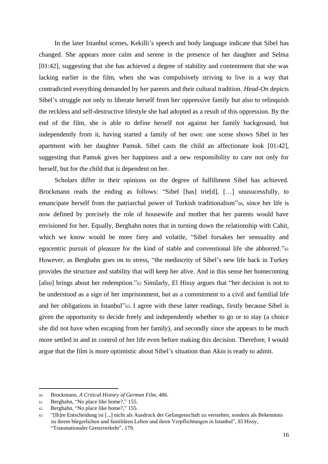In the later Istanbul scenes, Kekilli's speech and body language indicate that Sibel has changed. She appears more calm and serene in the presence of her daughter and Selma [01:42], suggesting that she has achieved a degree of stability and contentment that she was lacking earlier in the film, when she was compulsively striving to live in a way that contradicted everything demanded by her parents and their cultural tradition. *Head-On* depicts Sibel's struggle not only to liberate herself from her oppressive family but also to relinquish the reckless and self-destructive lifestyle she had adopted as a result of this oppression. By the end of the film, she is able to define herself not against her family background, but independently from it, having started a family of her own: one scene shows Sibel in her apartment with her daughter Pamuk. Sibel casts the child an affectionate look [01:42], suggesting that Pamuk gives her happiness and a new responsibility to care not only for herself, but for the child that is dependent on her.

Scholars differ in their opinions on the degree of fulfillment Sibel has achieved. Brockmann reads the ending as follows: "Sibel [has] trie[d], […] unusucessfully, to emancipate herself from the patriarchal power of Turkish traditionalism"60, since her life is now defined by precisely the role of housewife and mother that her parents would have envisioned for her. Equally, Berghahn notes that in turning down the relationship with Cahit, which we know would be more fiery and volatile, "Sibel forsakes her sensuality and egocentric pursuit of pleasure for the kind of stable and conventional life she abhorred."<sup>61</sup> However, as Berghahn goes on to stress, "the mediocrity of Sibel's new life back in Turkey provides the structure and stability that will keep her alive. And in this sense her homecoming [also] brings about her redemption."<sup>62</sup> Similarly, El Hissy argues that "her decision is not to be understood as a sign of her imprisonment, but as a commitment to a civil and familial life and her obligations in Istanbul"63. I agree with these latter readings, firstly because Sibel is given the opportunity to decide freely and independently whether to go or to stay (a choice she did not have when escaping from her family), and secondly since she appears to be much more settled in and in control of her life even before making this decision. Therefore, I would argue that the film is more optimistic about Sibel's situation than Akin is ready to admit.

<sup>60</sup> Brockmann, *A Critical History of German Film*, 486.

<sup>61</sup> Berghahn, "No place like home?," 155.

<sup>62</sup> Berghahn, "No place like home?," 155.

<sup>63</sup> "[Ih]re Entscheidung ist [...] nicht als Ausdruck der Gefangenschaft zu verstehen, sondern als Bekenntnis zu ihrem bürgerlichen und familiären Leben und ihren Verpflichtungen in Istanbul", El Hissy, "Transnationaler Grenzverkehr", 179.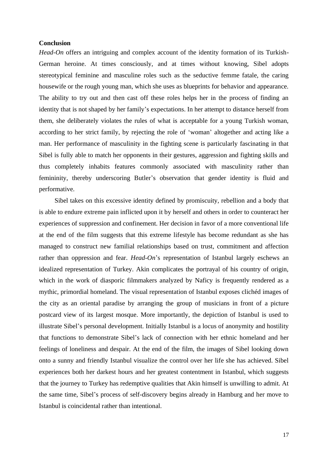### **Conclusion**

*Head-On* offers an intriguing and complex account of the identity formation of its Turkish-German heroine. At times consciously, and at times without knowing, Sibel adopts stereotypical feminine and masculine roles such as the seductive femme fatale, the caring housewife or the rough young man, which she uses as blueprints for behavior and appearance. The ability to try out and then cast off these roles helps her in the process of finding an identity that is not shaped by her family's expectations. In her attempt to distance herself from them, she deliberately violates the rules of what is acceptable for a young Turkish woman, according to her strict family, by rejecting the role of 'woman' altogether and acting like a man. Her performance of masculinity in the fighting scene is particularly fascinating in that Sibel is fully able to match her opponents in their gestures, aggression and fighting skills and thus completely inhabits features commonly associated with masculinity rather than femininity, thereby underscoring Butler's observation that gender identity is fluid and performative.

Sibel takes on this excessive identity defined by promiscuity, rebellion and a body that is able to endure extreme pain inflicted upon it by herself and others in order to counteract her experiences of suppression and confinement. Her decision in favor of a more conventional life at the end of the film suggests that this extreme lifestyle has become redundant as she has managed to construct new familial relationships based on trust, commitment and affection rather than oppression and fear. *Head-On*'s representation of Istanbul largely eschews an idealized representation of Turkey. Akin complicates the portrayal of his country of origin, which in the work of diasporic filmmakers analyzed by Naficy is frequently rendered as a mythic, primordial homeland. The visual representation of Istanbul exposes clichéd images of the city as an oriental paradise by arranging the group of musicians in front of a picture postcard view of its largest mosque. More importantly, the depiction of Istanbul is used to illustrate Sibel's personal development. Initially Istanbul is a locus of anonymity and hostility that functions to demonstrate Sibel's lack of connection with her ethnic homeland and her feelings of loneliness and despair. At the end of the film, the images of Sibel looking down onto a sunny and friendly Istanbul visualize the control over her life she has achieved. Sibel experiences both her darkest hours and her greatest contentment in Istanbul, which suggests that the journey to Turkey has redemptive qualities that Akin himself is unwilling to admit. At the same time, Sibel's process of self-discovery begins already in Hamburg and her move to Istanbul is coincidental rather than intentional.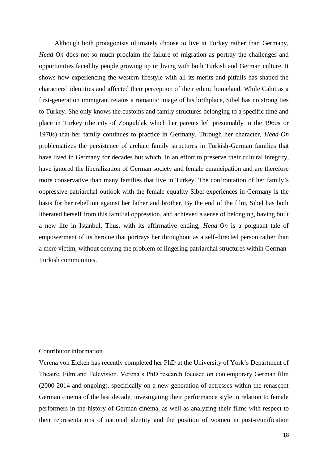Although both protagonists ultimately choose to live in Turkey rather than Germany, *Head-On* does not so much proclaim the failure of migration as portray the challenges and opportunities faced by people growing up or living with both Turkish and German culture. It shows how experiencing the western lifestyle with all its merits and pitfalls has shaped the characters' identities and affected their perception of their ethnic homeland. While Cahit as a first-generation immigrant retains a romantic image of his birthplace, Sibel has no strong ties to Turkey. She only knows the customs and family structures belonging to a specific time and place in Turkey (the city of Zonguldak which her parents left presumably in the 1960s or 1970s) that her family continues to practice in Germany. Through her character, *Head-On* problematizes the persistence of archaic family structures in Turkish-German families that have lived in Germany for decades but which, in an effort to preserve their cultural integrity, have ignored the liberalization of German society and female emancipation and are therefore more conservative than many families that live in Turkey. The confrontation of her family's oppressive patriarchal outlook with the female equality Sibel experiences in Germany is the basis for her rebellion against her father and brother. By the end of the film, Sibel has both liberated herself from this familial oppression, and achieved a sense of belonging, having built a new life in Istanbul. Thus, with its affirmative ending, *Head-On* is a poignant tale of empowerment of its heroine that portrays her throughout as a self-directed person rather than a mere victim, without denying the problem of lingering patriarchal structures within German-Turkish communities.

#### Contributor information

Verena von Eicken has recently completed her PhD at the University of York's Department of Theatre, Film and Television. Verena's PhD research focused on contemporary German film (2000-2014 and ongoing), specifically on a new generation of actresses within the renascent German cinema of the last decade, investigating their performance style in relation to female performers in the history of German cinema, as well as analyzing their films with respect to their representations of national identity and the position of women in post-reunification